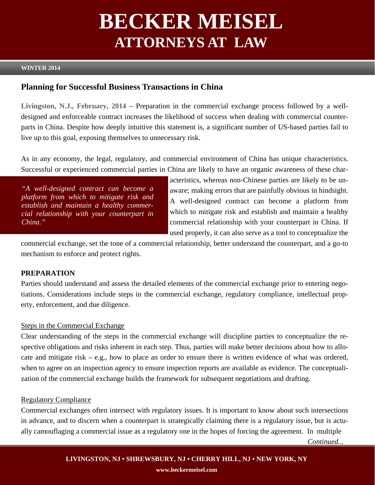# **BECKER MEISEL ATTORNEYS AT LAW**

# **WINTER 2014**

# **Planning for Successful Business Transactions in China**

**Livingston, N.J., February, 2014** – Preparation in the commercial exchange process followed by a welldesigned and enforceable contract increases the likelihood of success when dealing with commercial counterparts in China. Despite how deeply intuitive this statement is, a significant number of US-based parties fail to live up to this goal, exposing themselves to unnecessary risk.

As in any economy, the legal, regulatory, and commercial environment of China has unique characteristics. Successful or experienced commercial parties in China are likely to have an organic awareness of these char-

*"A well-designed contract can become a platform from which to mitigate risk and establish and maintain a healthy commercial relationship with your counterpart in China."* 

acteristics, whereas non-Chinese parties are likely to be unaware; making errors that are painfully obvious in hindsight. A well-designed contract can become a platform from which to mitigate risk and establish and maintain a healthy commercial relationship with your counterpart in China. If used properly, it can also serve as a tool to conceptualize the

commercial exchange, set the tone of a commercial relationship, better understand the counterpart, and a go-to mechanism to enforce and protect rights.

### **PREPARATION**

Parties should understand and assess the detailed elements of the commercial exchange prior to entering negotiations. Considerations include steps in the commercial exchange, regulatory compliance, intellectual property, enforcement, and due diligence.

#### Steps in the Commercial Exchange

Clear understanding of the steps in the commercial exchange will discipline parties to conceptualize the respective obligations and risks inherent in each step. Thus, parties will make better decisions about how to allocate and mitigate risk – e.g., how to place an order to ensure there is written evidence of what was ordered, when to agree on an inspection agency to ensure inspection reports are available as evidence. The conceptualization of the commercial exchange builds the framework for subsequent negotiations and drafting.

#### Regulatory Compliance

Commercial exchanges often intersect with regulatory issues. It is important to know about such intersections in advance, and to discern when a counterpart is strategically claiming there is a regulatory issue, but is actually camouflaging a commercial issue as a regulatory one in the hopes of forcing the agreement. In multiple

*Continued...*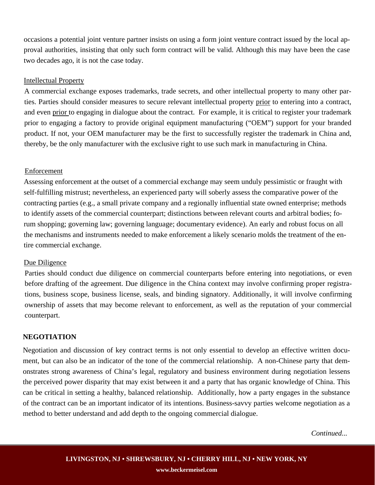occasions a potential joint venture partner insists on using a form joint venture contract issued by the local approval authorities, insisting that only such form contract will be valid. Although this may have been the case two decades ago, it is not the case today.

#### Intellectual Property

A commercial exchange exposes trademarks, trade secrets, and other intellectual property to many other parties. Parties should consider measures to secure relevant intellectual property prior to entering into a contract, and even prior to engaging in dialogue about the contract. For example, it is critical to register your trademark prior to engaging a factory to provide original equipment manufacturing ("OEM") support for your branded product. If not, your OEM manufacturer may be the first to successfully register the trademark in China and, thereby, be the only manufacturer with the exclusive right to use such mark in manufacturing in China.

#### Enforcement

Assessing enforcement at the outset of a commercial exchange may seem unduly pessimistic or fraught with self-fulfilling mistrust; nevertheless, an experienced party will soberly assess the comparative power of the contracting parties (e.g., a small private company and a regionally influential state owned enterprise; methods to identify assets of the commercial counterpart; distinctions between relevant courts and arbitral bodies; forum shopping; governing law; governing language; documentary evidence). An early and robust focus on all the mechanisms and instruments needed to make enforcement a likely scenario molds the treatment of the entire commercial exchange.

#### Due Diligence

Parties should conduct due diligence on commercial counterparts before entering into negotiations, or even before drafting of the agreement. Due diligence in the China context may involve confirming proper registrations, business scope, business license, seals, and binding signatory. Additionally, it will involve confirming ownership of assets that may become relevant to enforcement, as well as the reputation of your commercial counterpart.

#### **NEGOTIATION**

Negotiation and discussion of key contract terms is not only essential to develop an effective written document, but can also be an indicator of the tone of the commercial relationship. A non-Chinese party that demonstrates strong awareness of China's legal, regulatory and business environment during negotiation lessens the perceived power disparity that may exist between it and a party that has organic knowledge of China. This can be critical in setting a healthy, balanced relationship. Additionally, how a party engages in the substance of the contract can be an important indicator of its intentions. Business-savvy parties welcome negotiation as a method to better understand and add depth to the ongoing commercial dialogue.

*Continued...*